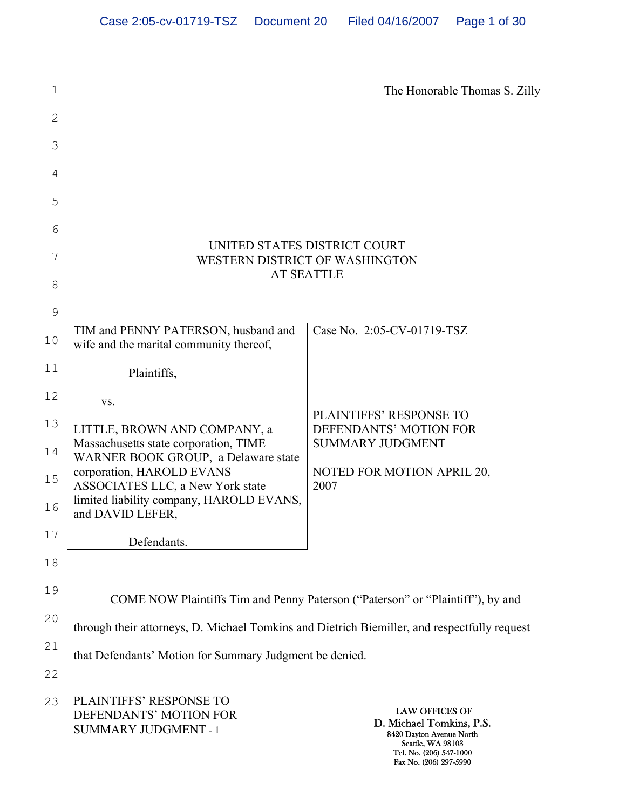| Case 2:05-cv-01719-TSZ Document 20 | Filed 04/16/2007 | Page 1 of 30 |
|------------------------------------|------------------|--------------|
|                                    |                  |              |

| 1              |                                                                                                      | The Honorable Thomas S. Zilly                                                                                                                           |  |  |
|----------------|------------------------------------------------------------------------------------------------------|---------------------------------------------------------------------------------------------------------------------------------------------------------|--|--|
| $\overline{2}$ |                                                                                                      |                                                                                                                                                         |  |  |
| 3              |                                                                                                      |                                                                                                                                                         |  |  |
| 4              |                                                                                                      |                                                                                                                                                         |  |  |
| 5              |                                                                                                      |                                                                                                                                                         |  |  |
| 6              |                                                                                                      |                                                                                                                                                         |  |  |
| 7              | UNITED STATES DISTRICT COURT<br>WESTERN DISTRICT OF WASHINGTON                                       |                                                                                                                                                         |  |  |
| 8              |                                                                                                      | <b>AT SEATTLE</b>                                                                                                                                       |  |  |
| 9              |                                                                                                      |                                                                                                                                                         |  |  |
| 10             | TIM and PENNY PATERSON, husband and<br>wife and the marital community thereof,                       | Case No. 2:05-CV-01719-TSZ                                                                                                                              |  |  |
| 11             | Plaintiffs,                                                                                          |                                                                                                                                                         |  |  |
| 12             | VS.                                                                                                  |                                                                                                                                                         |  |  |
| 13<br>14       | LITTLE, BROWN AND COMPANY, a<br>Massachusetts state corporation, TIME                                | PLAINTIFFS' RESPONSE TO<br>DEFENDANTS' MOTION FOR<br><b>SUMMARY JUDGMENT</b>                                                                            |  |  |
| 15             | WARNER BOOK GROUP, a Delaware state<br>corporation, HAROLD EVANS<br>ASSOCIATES LLC, a New York state | NOTED FOR MOTION APRIL 20,<br>2007                                                                                                                      |  |  |
| 16             | limited liability company, HAROLD EVANS,<br>and DAVID LEFER,                                         |                                                                                                                                                         |  |  |
| 17             | Defendants.                                                                                          |                                                                                                                                                         |  |  |
| 18             |                                                                                                      |                                                                                                                                                         |  |  |
| 19             |                                                                                                      | COME NOW Plaintiffs Tim and Penny Paterson ("Paterson" or "Plaintiff"), by and                                                                          |  |  |
| 20             | through their attorneys, D. Michael Tomkins and Dietrich Biemiller, and respectfully request         |                                                                                                                                                         |  |  |
| 21             | that Defendants' Motion for Summary Judgment be denied.                                              |                                                                                                                                                         |  |  |
| 22             |                                                                                                      |                                                                                                                                                         |  |  |
| 23             | PLAINTIFFS' RESPONSE TO<br>DEFENDANTS' MOTION FOR<br><b>SUMMARY JUDGMENT - 1</b>                     | <b>LAW OFFICES OF</b><br>D. Michael Tomkins, P.S.<br>8420 Dayton Avenue North<br>Seattle, WA 98103<br>Tel. No. (206) 547-1000<br>Fax No. (206) 297-5990 |  |  |

 $\blacksquare$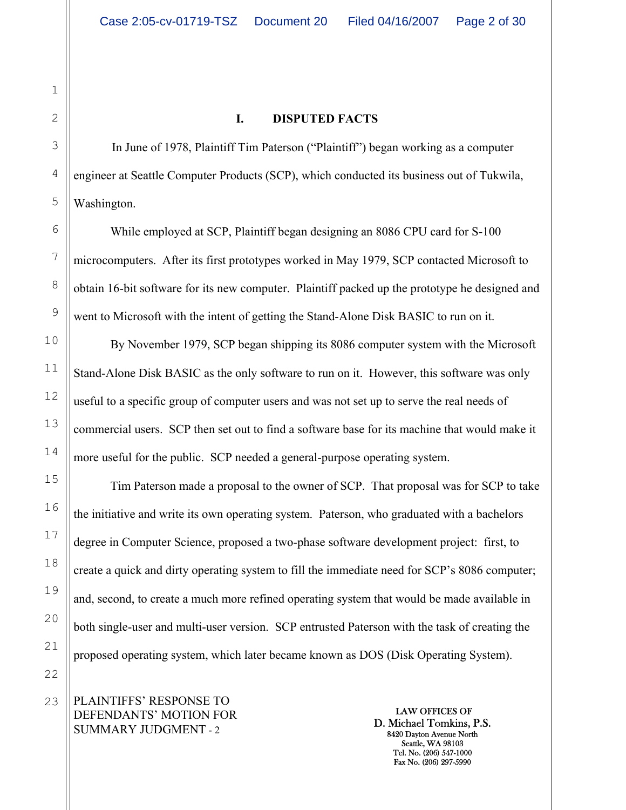# 1 2 3 4 5

6

7

8

9

10

11

12

13

14

15

16

17

18

19

20

21

22

#### **I. DISPUTED FACTS**

In June of 1978, Plaintiff Tim Paterson ("Plaintiff") began working as a computer engineer at Seattle Computer Products (SCP), which conducted its business out of Tukwila, Washington.

While employed at SCP, Plaintiff began designing an 8086 CPU card for S-100 microcomputers. After its first prototypes worked in May 1979, SCP contacted Microsoft to obtain 16-bit software for its new computer. Plaintiff packed up the prototype he designed and went to Microsoft with the intent of getting the Stand-Alone Disk BASIC to run on it.

 By November 1979, SCP began shipping its 8086 computer system with the Microsoft Stand-Alone Disk BASIC as the only software to run on it. However, this software was only useful to a specific group of computer users and was not set up to serve the real needs of commercial users. SCP then set out to find a software base for its machine that would make it more useful for the public. SCP needed a general-purpose operating system.

 Tim Paterson made a proposal to the owner of SCP. That proposal was for SCP to take the initiative and write its own operating system. Paterson, who graduated with a bachelors degree in Computer Science, proposed a two-phase software development project: first, to create a quick and dirty operating system to fill the immediate need for SCP's 8086 computer; and, second, to create a much more refined operating system that would be made available in both single-user and multi-user version. SCP entrusted Paterson with the task of creating the proposed operating system, which later became known as DOS (Disk Operating System).

PLAINTIFFS' RESPONSE TO DEFENDANTS' MOTION FOR SUMMARY JUDGMENT - 2 23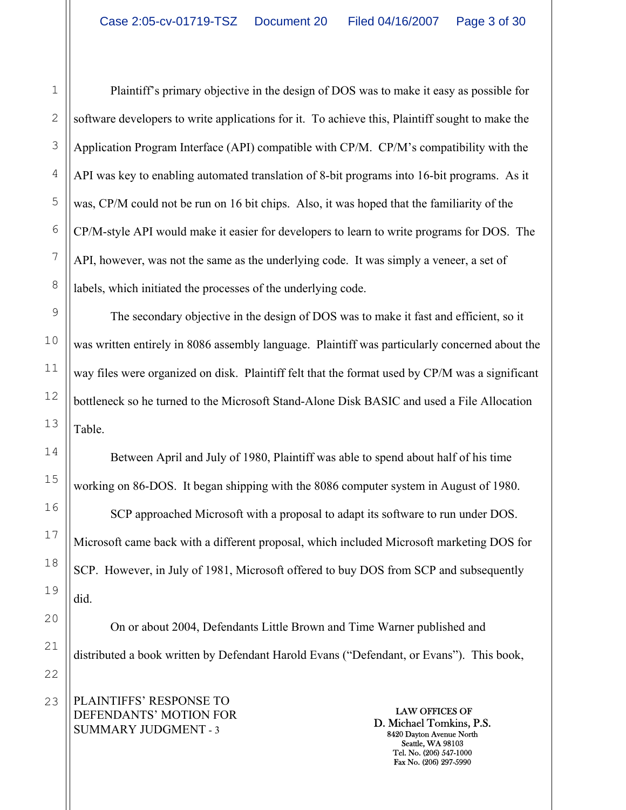Plaintiff's primary objective in the design of DOS was to make it easy as possible for software developers to write applications for it. To achieve this, Plaintiff sought to make the Application Program Interface (API) compatible with CP/M. CP/M's compatibility with the API was key to enabling automated translation of 8-bit programs into 16-bit programs. As it was, CP/M could not be run on 16 bit chips. Also, it was hoped that the familiarity of the CP/M-style API would make it easier for developers to learn to write programs for DOS. The API, however, was not the same as the underlying code. It was simply a veneer, a set of labels, which initiated the processes of the underlying code.

The secondary objective in the design of DOS was to make it fast and efficient, so it was written entirely in 8086 assembly language. Plaintiff was particularly concerned about the way files were organized on disk. Plaintiff felt that the format used by CP/M was a significant bottleneck so he turned to the Microsoft Stand-Alone Disk BASIC and used a File Allocation Table.

 Between April and July of 1980, Plaintiff was able to spend about half of his time working on 86-DOS. It began shipping with the 8086 computer system in August of 1980. SCP approached Microsoft with a proposal to adapt its software to run under DOS. Microsoft came back with a different proposal, which included Microsoft marketing DOS for SCP. However, in July of 1981, Microsoft offered to buy DOS from SCP and subsequently did.

 On or about 2004, Defendants Little Brown and Time Warner published and distributed a book written by Defendant Harold Evans ("Defendant, or Evans"). This book,

PLAINTIFFS' RESPONSE TO DEFENDANTS' MOTION FOR SUMMARY JUDGMENT - 3

LAW OFFICES OF D. Michael Tomkins, P.S. 8420 Dayton Avenue North Seattle, WA 98103 Tel. No. (206) 547-1000 Fax No. (206) 297-5990

1

2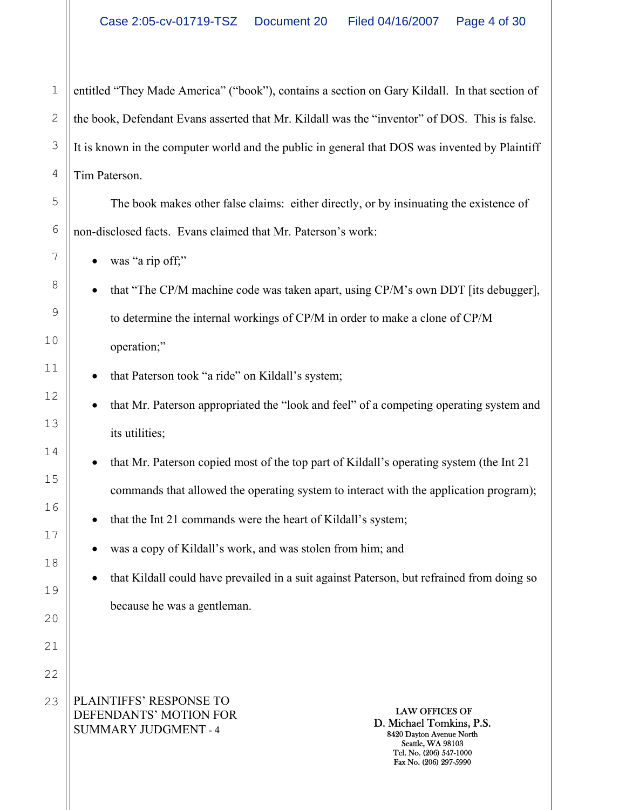entitled "They Made America" ("book"), contains a section on Gary Kildall. In that section of the book, Defendant Evans asserted that Mr. Kildall was the "inventor" of DOS. This is false. It is known in the computer world and the public in general that DOS was invented by Plaintiff Tim Paterson.

 The book makes other false claims: either directly, or by insinuating the existence of non-disclosed facts. Evans claimed that Mr. Paterson's work:

was "a rip off;"

1

2

3

4

5

6

7

8

9

10

11

12

13

14

15

16

17

18

19

20

21

22

• that "The CP/M machine code was taken apart, using CP/M's own DDT [its debugger], to determine the internal workings of CP/M in order to make a clone of CP/M operation;"

- that Paterson took "a ride" on Kildall's system;
- that Mr. Paterson appropriated the "look and feel" of a competing operating system and its utilities;
- that Mr. Paterson copied most of the top part of Kildall's operating system (the Int 21 commands that allowed the operating system to interact with the application program);
- that the Int 21 commands were the heart of Kildall's system;
- was a copy of Kildall's work, and was stolen from him; and

• that Kildall could have prevailed in a suit against Paterson, but refrained from doing so because he was a gentleman.

PLAINTIFFS' RESPONSE TO DEFENDANTS' MOTION FOR SUMMARY JUDGMENT - 4 23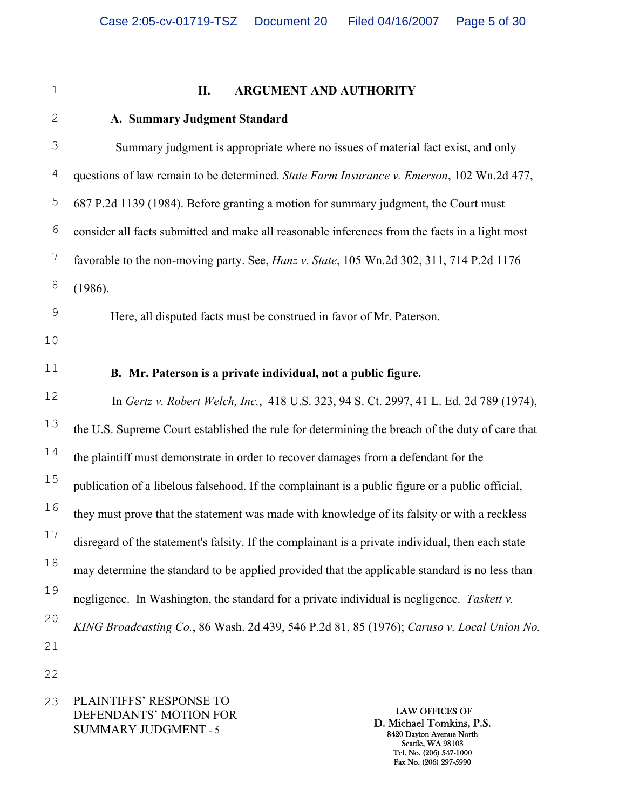# 1 2 3 4 5 6 7 8 9 10 11 12 13 14 15 16 17 18 19 20 21 22 23

#### **II. ARGUMENT AND AUTHORITY**

#### **A. Summary Judgment Standard**

Summary judgment is appropriate where no issues of material fact exist, and only questions of law remain to be determined. *State Farm Insurance v. Emerson*, 102 Wn.2d 477, 687 P.2d 1139 (1984). Before granting a motion for summary judgment, the Court must consider all facts submitted and make all reasonable inferences from the facts in a light most favorable to the non-moving party. See, *Hanz v. State*, 105 Wn.2d 302, 311, 714 P.2d 1176 (1986).

Here, all disputed facts must be construed in favor of Mr. Paterson.

**B. Mr. Paterson is a private individual, not a public figure.** 

In *Gertz v. Robert Welch, Inc.*, 418 U.S. 323, 94 S. Ct. 2997, 41 L. Ed. 2d 789 (1974), the U.S. Supreme Court established the rule for determining the breach of the duty of care that the plaintiff must demonstrate in order to recover damages from a defendant for the publication of a libelous falsehood. If the complainant is a public figure or a public official, they must prove that the statement was made with knowledge of its falsity or with a reckless disregard of the statement's falsity. If the complainant is a private individual, then each state may determine the standard to be applied provided that the applicable standard is no less than negligence. In Washington, the standard for a private individual is negligence. *Taskett v. KING Broadcasting Co.*, 86 Wash. 2d 439, 546 P.2d 81, 85 (1976); *Caruso v. Local Union No.* 

PLAINTIFFS' RESPONSE TO DEFENDANTS' MOTION FOR SUMMARY JUDGMENT - 5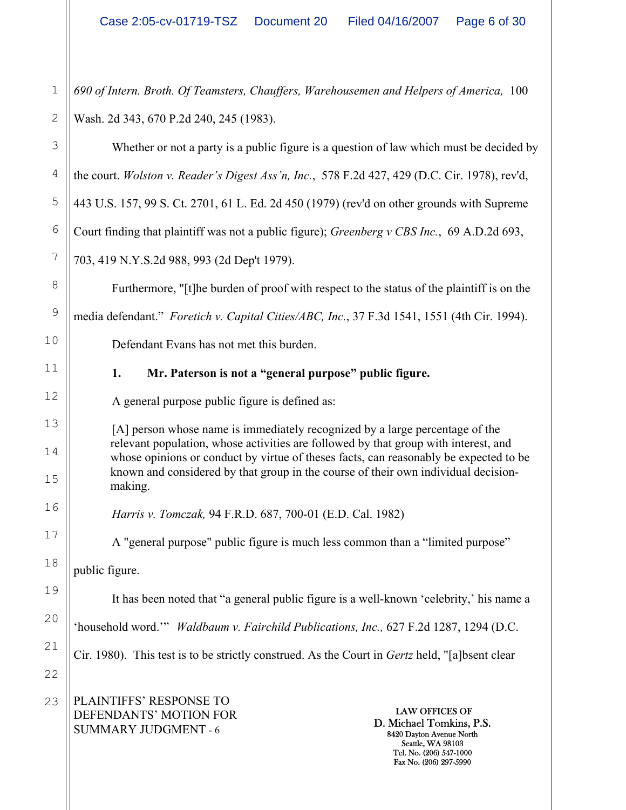PLAINTIFFS' RESPONSE TO DEFENDANTS' MOTION FOR SUMMARY JUDGMENT - 6 LAW OFFICES OF D. Michael Tomkins, P.S. 8420 Dayton Avenue North Seattle, WA 98103 Tel. No. (206) 547-1000 Fax No. (206) 297-5990 1 2 3 4 5 6 7 8 9 10 11 12 13 14 15 16 17 18 19 20 21 22 23 *690 of Intern. Broth. Of Teamsters, Chauffers, Warehousemen and Helpers of America,* 100 Wash. 2d 343, 670 P.2d 240, 245 (1983). Whether or not a party is a public figure is a question of law which must be decided by the court. *Wolston v. Reader's Digest Ass'n, Inc.*, 578 F.2d 427, 429 (D.C. Cir. 1978), rev'd, 443 U.S. 157, 99 S. Ct. 2701, 61 L. Ed. 2d 450 (1979) (rev'd on other grounds with Supreme Court finding that plaintiff was not a public figure); *Greenberg v CBS Inc.*, 69 A.D.2d 693, 703, 419 N.Y.S.2d 988, 993 (2d Dep't 1979). Furthermore, "[t]he burden of proof with respect to the status of the plaintiff is on the media defendant." *Foretich v. Capital Cities/ABC, Inc.*, 37 F.3d 1541, 1551 (4th Cir. 1994). Defendant Evans has not met this burden. **1. Mr. Paterson is not a "general purpose" public figure.**  A general purpose public figure is defined as: [A] person whose name is immediately recognized by a large percentage of the relevant population, whose activities are followed by that group with interest, and whose opinions or conduct by virtue of theses facts, can reasonably be expected to be known and considered by that group in the course of their own individual decisionmaking. *Harris v. Tomczak,* 94 F.R.D. 687, 700-01 (E.D. Cal. 1982) A "general purpose" public figure is much less common than a "limited purpose" public figure. It has been noted that "a general public figure is a well-known 'celebrity,' his name a 'household word.'" *Waldbaum v. Fairchild Publications, Inc.,* 627 F.2d 1287, 1294 (D.C. Cir. 1980). This test is to be strictly construed. As the Court in *Gertz* held, "[a]bsent clear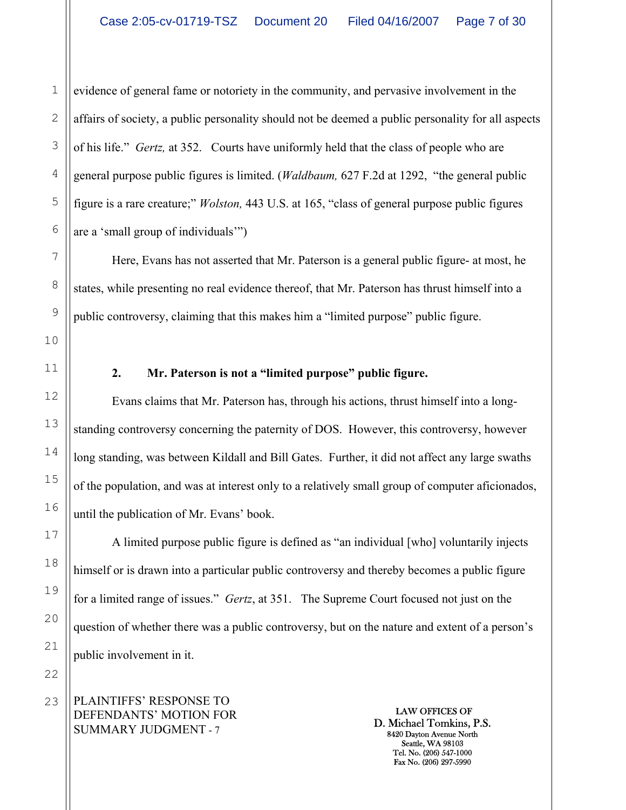1 2 evidence of general fame or notoriety in the community, and pervasive involvement in the affairs of society, a public personality should not be deemed a public personality for all aspects of his life." *Gertz,* at 352. Courts have uniformly held that the class of people who are general purpose public figures is limited. (*Waldbaum,* 627 F.2d at 1292, "the general public figure is a rare creature;" *Wolston,* 443 U.S. at 165, "class of general purpose public figures are a 'small group of individuals'")

Here, Evans has not asserted that Mr. Paterson is a general public figure- at most, he states, while presenting no real evidence thereof, that Mr. Paterson has thrust himself into a public controversy, claiming that this makes him a "limited purpose" public figure.

## **2. Mr. Paterson is not a "limited purpose" public figure.**

Evans claims that Mr. Paterson has, through his actions, thrust himself into a longstanding controversy concerning the paternity of DOS. However, this controversy, however long standing, was between Kildall and Bill Gates. Further, it did not affect any large swaths of the population, and was at interest only to a relatively small group of computer aficionados, until the publication of Mr. Evans' book.

A limited purpose public figure is defined as "an individual [who] voluntarily injects himself or is drawn into a particular public controversy and thereby becomes a public figure for a limited range of issues." *Gertz*, at 351. The Supreme Court focused not just on the question of whether there was a public controversy, but on the nature and extent of a person's public involvement in it.

PLAINTIFFS' RESPONSE TO DEFENDANTS' MOTION FOR SUMMARY JUDGMENT - 7

LAW OFFICES OF D. Michael Tomkins, P.S. 8420 Dayton Avenue North Seattle, WA 98103 Tel. No. (206) 547-1000 Fax No. (206) 297-5990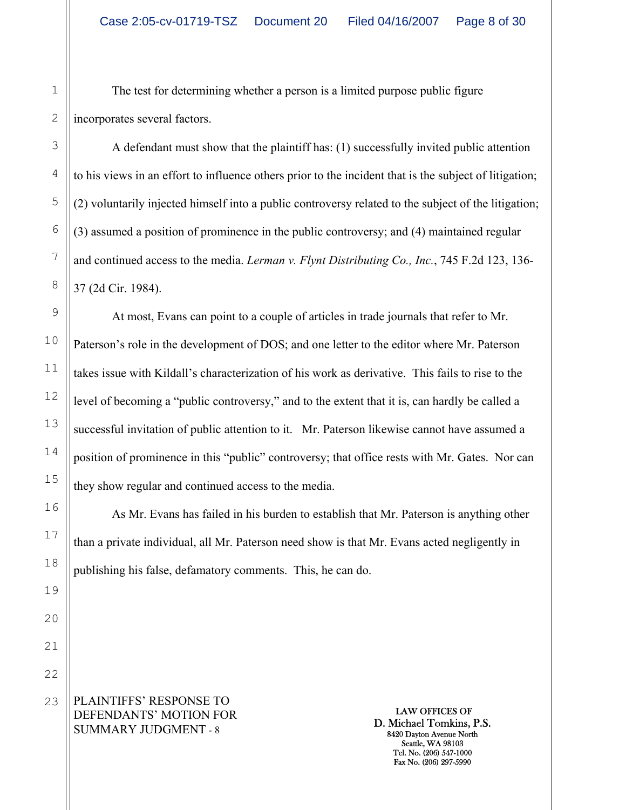The test for determining whether a person is a limited purpose public figure incorporates several factors.

A defendant must show that the plaintiff has: (1) successfully invited public attention to his views in an effort to influence others prior to the incident that is the subject of litigation; (2) voluntarily injected himself into a public controversy related to the subject of the litigation; (3) assumed a position of prominence in the public controversy; and (4) maintained regular and continued access to the media. *Lerman v. Flynt Distributing Co., Inc.*, 745 F.2d 123, 136- 37 (2d Cir. 1984).

At most, Evans can point to a couple of articles in trade journals that refer to Mr. Paterson's role in the development of DOS; and one letter to the editor where Mr. Paterson takes issue with Kildall's characterization of his work as derivative. This fails to rise to the level of becoming a "public controversy," and to the extent that it is, can hardly be called a successful invitation of public attention to it. Mr. Paterson likewise cannot have assumed a position of prominence in this "public" controversy; that office rests with Mr. Gates. Nor can they show regular and continued access to the media.

As Mr. Evans has failed in his burden to establish that Mr. Paterson is anything other than a private individual, all Mr. Paterson need show is that Mr. Evans acted negligently in publishing his false, defamatory comments. This, he can do.

PLAINTIFFS' RESPONSE TO DEFENDANTS' MOTION FOR SUMMARY JUDGMENT - 8

LAW OFFICES OF D. Michael Tomkins, P.S. 8420 Dayton Avenue North Seattle, WA 98103 Tel. No. (206) 547-1000 Fax No. (206) 297-5990

1

2

3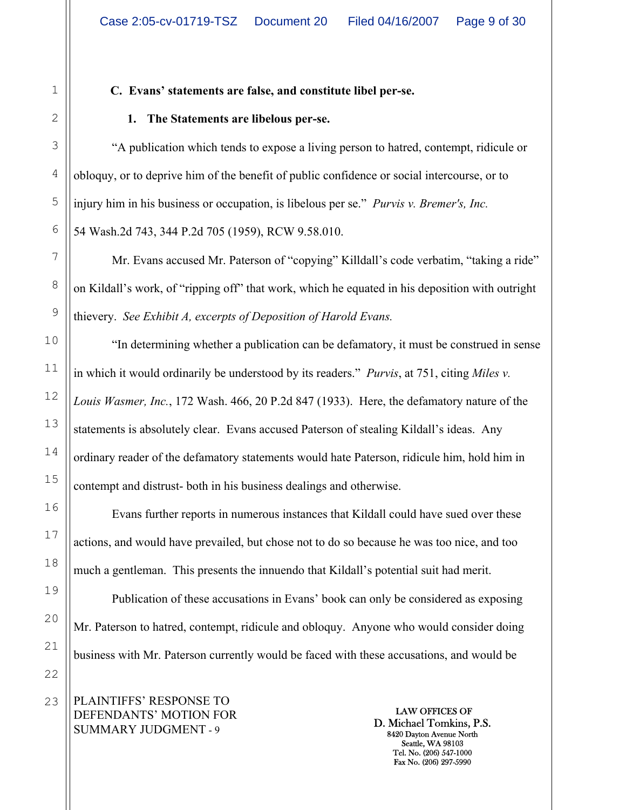## **C. Evans' statements are false, and constitute libel per-se.**

## **1. The Statements are libelous per-se.**

"A publication which tends to expose a living person to hatred, contempt, ridicule or obloquy, or to deprive him of the benefit of public confidence or social intercourse, or to injury him in his business or occupation, is libelous per se." *Purvis v. Bremer's, Inc.* 54 Wash.2d 743, 344 P.2d 705 (1959), RCW 9.58.010.

Mr. Evans accused Mr. Paterson of "copying" Killdall's code verbatim, "taking a ride" on Kildall's work, of "ripping off" that work, which he equated in his deposition with outright thievery. *See Exhibit A, excerpts of Deposition of Harold Evans.* 

"In determining whether a publication can be defamatory, it must be construed in sense in which it would ordinarily be understood by its readers." *Purvis*, at 751, citing *Miles v. Louis Wasmer, Inc.*, 172 Wash. 466, 20 P.2d 847 (1933). Here, the defamatory nature of the statements is absolutely clear. Evans accused Paterson of stealing Kildall's ideas. Any ordinary reader of the defamatory statements would hate Paterson, ridicule him, hold him in contempt and distrust- both in his business dealings and otherwise.

Evans further reports in numerous instances that Kildall could have sued over these actions, and would have prevailed, but chose not to do so because he was too nice, and too much a gentleman. This presents the innuendo that Kildall's potential suit had merit.

Publication of these accusations in Evans' book can only be considered as exposing Mr. Paterson to hatred, contempt, ridicule and obloquy. Anyone who would consider doing business with Mr. Paterson currently would be faced with these accusations, and would be

PLAINTIFFS' RESPONSE TO DEFENDANTS' MOTION FOR SUMMARY JUDGMENT - 9

LAW OFFICES OF D. Michael Tomkins, P.S. 8420 Dayton Avenue North Seattle, WA 98103 Tel. No. (206) 547-1000 Fax No. (206) 297-5990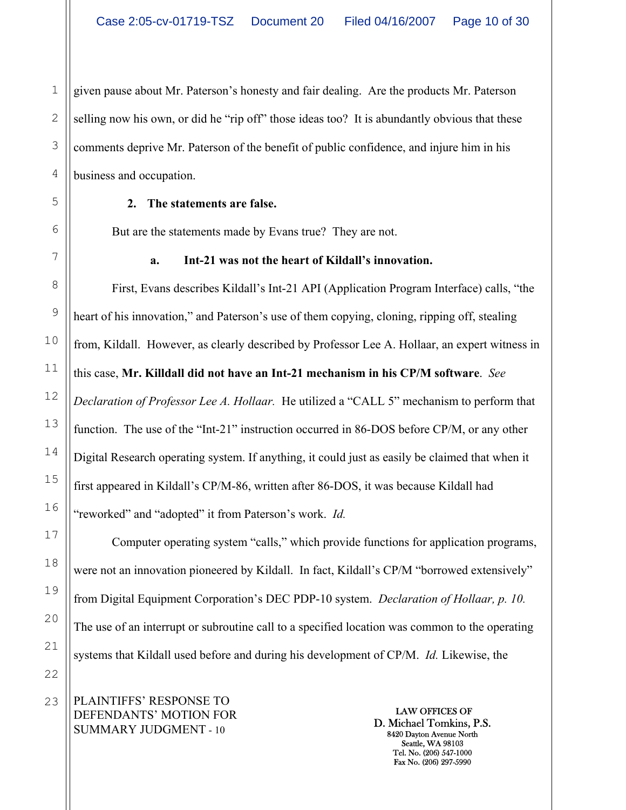1 given pause about Mr. Paterson's honesty and fair dealing. Are the products Mr. Paterson selling now his own, or did he "rip off" those ideas too? It is abundantly obvious that these comments deprive Mr. Paterson of the benefit of public confidence, and injure him in his business and occupation.

### **2. The statements are false.**

But are the statements made by Evans true? They are not.

## **a. Int-21 was not the heart of Kildall's innovation.**

First, Evans describes Kildall's Int-21 API (Application Program Interface) calls, "the heart of his innovation," and Paterson's use of them copying, cloning, ripping off, stealing from, Kildall. However, as clearly described by Professor Lee A. Hollaar, an expert witness in this case, **Mr. Killdall did not have an Int-21 mechanism in his CP/M software**. *See Declaration of Professor Lee A. Hollaar.* He utilized a "CALL 5" mechanism to perform that function. The use of the "Int-21" instruction occurred in 86-DOS before CP/M, or any other Digital Research operating system. If anything, it could just as easily be claimed that when it first appeared in Kildall's CP/M-86, written after 86-DOS, it was because Kildall had "reworked" and "adopted" it from Paterson's work. *Id.* 

Computer operating system "calls," which provide functions for application programs, were not an innovation pioneered by Kildall. In fact, Kildall's CP/M "borrowed extensively" from Digital Equipment Corporation's DEC PDP-10 system. *Declaration of Hollaar, p. 10.*  The use of an interrupt or subroutine call to a specified location was common to the operating systems that Kildall used before and during his development of CP/M. *Id.* Likewise, the

PLAINTIFFS' RESPONSE TO DEFENDANTS' MOTION FOR SUMMARY JUDGMENT - 10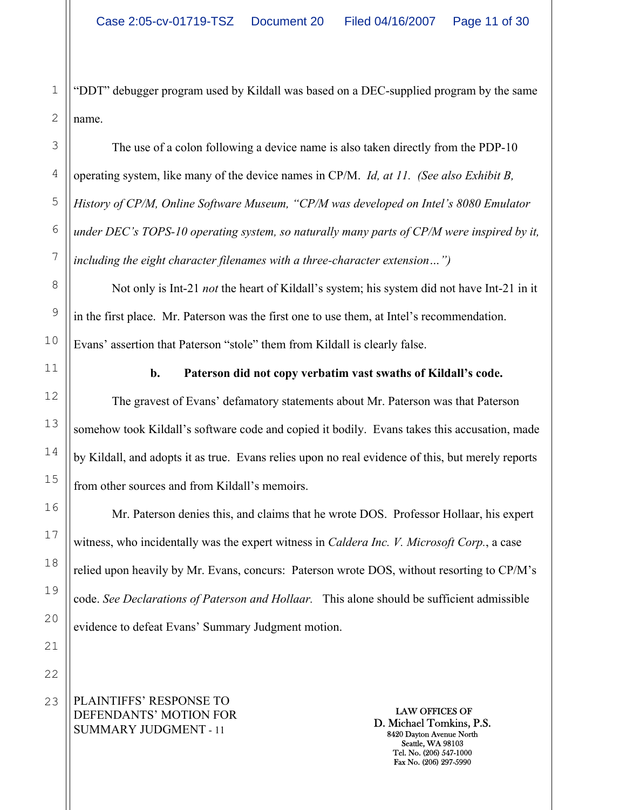2 "DDT" debugger program used by Kildall was based on a DEC-supplied program by the same name.

The use of a colon following a device name is also taken directly from the PDP-10 operating system, like many of the device names in CP/M. *Id, at 11. (See also Exhibit B, History of CP/M, Online Software Museum, "CP/M was developed on Intel's 8080 Emulator under DEC's TOPS-10 operating system, so naturally many parts of CP/M were inspired by it, including the eight character filenames with a three-character extension…")*

Not only is Int-21 *not* the heart of Kildall's system; his system did not have Int-21 in it in the first place. Mr. Paterson was the first one to use them, at Intel's recommendation. Evans' assertion that Paterson "stole" them from Kildall is clearly false.

#### **b. Paterson did not copy verbatim vast swaths of Kildall's code.**

The gravest of Evans' defamatory statements about Mr. Paterson was that Paterson somehow took Kildall's software code and copied it bodily. Evans takes this accusation, made by Kildall, and adopts it as true. Evans relies upon no real evidence of this, but merely reports from other sources and from Kildall's memoirs.

Mr. Paterson denies this, and claims that he wrote DOS. Professor Hollaar, his expert witness, who incidentally was the expert witness in *Caldera Inc. V. Microsoft Corp.*, a case relied upon heavily by Mr. Evans, concurs: Paterson wrote DOS, without resorting to CP/M's code. *See Declarations of Paterson and Hollaar.* This alone should be sufficient admissible evidence to defeat Evans' Summary Judgment motion.

PLAINTIFFS' RESPONSE TO DEFENDANTS' MOTION FOR SUMMARY JUDGMENT - 11

LAW OFFICES OF D. Michael Tomkins, P.S. 8420 Dayton Avenue North Seattle, WA 98103 Tel. No. (206) 547-1000 Fax No. (206) 297-5990

1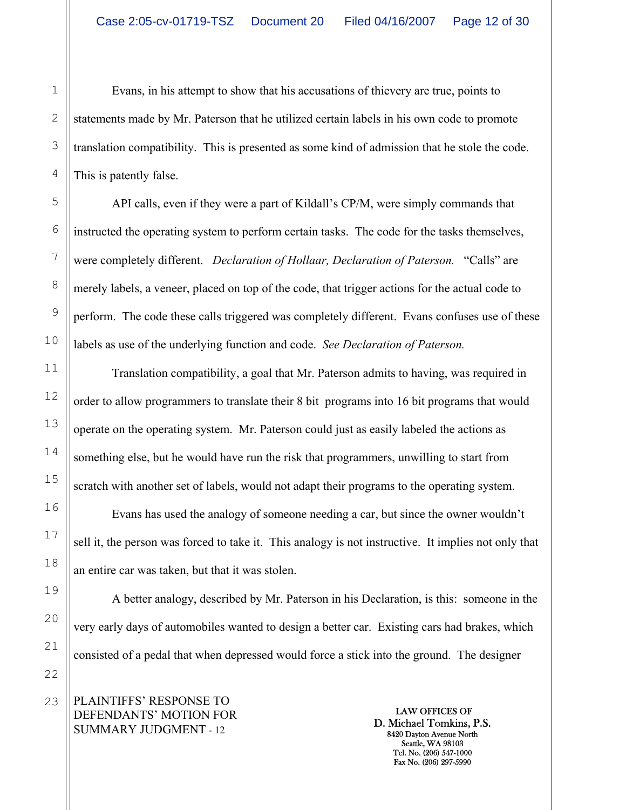Evans, in his attempt to show that his accusations of thievery are true, points to statements made by Mr. Paterson that he utilized certain labels in his own code to promote translation compatibility. This is presented as some kind of admission that he stole the code. This is patently false.

API calls, even if they were a part of Kildall's CP/M, were simply commands that instructed the operating system to perform certain tasks. The code for the tasks themselves, were completely different. *Declaration of Hollaar, Declaration of Paterson.* "Calls" are merely labels, a veneer, placed on top of the code, that trigger actions for the actual code to perform. The code these calls triggered was completely different. Evans confuses use of these labels as use of the underlying function and code. *See Declaration of Paterson.* 

Translation compatibility, a goal that Mr. Paterson admits to having, was required in order to allow programmers to translate their 8 bit programs into 16 bit programs that would operate on the operating system. Mr. Paterson could just as easily labeled the actions as something else, but he would have run the risk that programmers, unwilling to start from scratch with another set of labels, would not adapt their programs to the operating system.

Evans has used the analogy of someone needing a car, but since the owner wouldn't sell it, the person was forced to take it. This analogy is not instructive. It implies not only that an entire car was taken, but that it was stolen.

A better analogy, described by Mr. Paterson in his Declaration, is this: someone in the very early days of automobiles wanted to design a better car. Existing cars had brakes, which consisted of a pedal that when depressed would force a stick into the ground. The designer

PLAINTIFFS' RESPONSE TO DEFENDANTS' MOTION FOR SUMMARY JUDGMENT - 12

LAW OFFICES OF D. Michael Tomkins, P.S. 8420 Dayton Avenue North Seattle, WA 98103 Tel. No. (206) 547-1000 Fax No. (206) 297-5990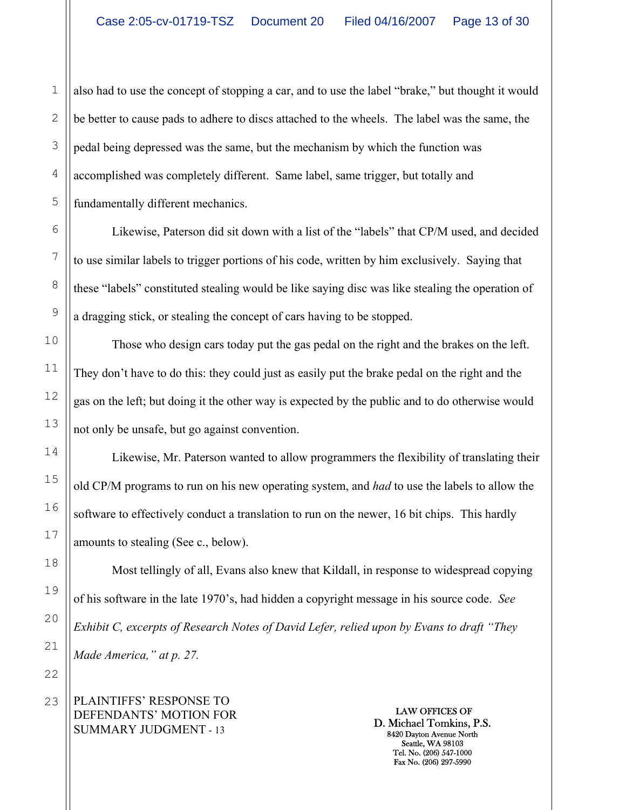1 2 3 also had to use the concept of stopping a car, and to use the label "brake," but thought it would be better to cause pads to adhere to discs attached to the wheels. The label was the same, the pedal being depressed was the same, but the mechanism by which the function was accomplished was completely different. Same label, same trigger, but totally and fundamentally different mechanics.

Likewise, Paterson did sit down with a list of the "labels" that CP/M used, and decided to use similar labels to trigger portions of his code, written by him exclusively. Saying that these "labels" constituted stealing would be like saying disc was like stealing the operation of a dragging stick, or stealing the concept of cars having to be stopped.

Those who design cars today put the gas pedal on the right and the brakes on the left. They don't have to do this: they could just as easily put the brake pedal on the right and the gas on the left; but doing it the other way is expected by the public and to do otherwise would not only be unsafe, but go against convention.

Likewise, Mr. Paterson wanted to allow programmers the flexibility of translating their old CP/M programs to run on his new operating system, and *had* to use the labels to allow the software to effectively conduct a translation to run on the newer, 16 bit chips. This hardly amounts to stealing (See c., below).

Most tellingly of all, Evans also knew that Kildall, in response to widespread copying of his software in the late 1970's, had hidden a copyright message in his source code. *See Exhibit C, excerpts of Research Notes of David Lefer, relied upon by Evans to draft "They Made America," at p. 27.* 

PLAINTIFFS' RESPONSE TO DEFENDANTS' MOTION FOR SUMMARY JUDGMENT - 13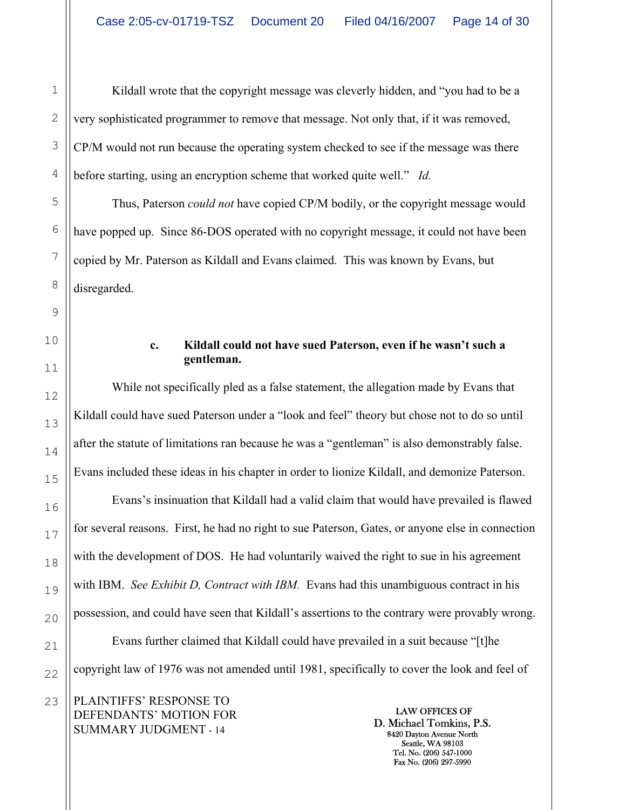Kildall wrote that the copyright message was cleverly hidden, and "you had to be a very sophisticated programmer to remove that message. Not only that, if it was removed, CP/M would not run because the operating system checked to see if the message was there before starting, using an encryption scheme that worked quite well." *Id.*

Thus, Paterson *could not* have copied CP/M bodily, or the copyright message would have popped up. Since 86-DOS operated with no copyright message, it could not have been copied by Mr. Paterson as Kildall and Evans claimed. This was known by Evans, but disregarded.

### **c. Kildall could not have sued Paterson, even if he wasn't such a gentleman.**

While not specifically pled as a false statement, the allegation made by Evans that Kildall could have sued Paterson under a "look and feel" theory but chose not to do so until after the statute of limitations ran because he was a "gentleman" is also demonstrably false. Evans included these ideas in his chapter in order to lionize Kildall, and demonize Paterson.

Evans's insinuation that Kildall had a valid claim that would have prevailed is flawed for several reasons. First, he had no right to sue Paterson, Gates, or anyone else in connection with the development of DOS. He had voluntarily waived the right to sue in his agreement with IBM. *See Exhibit D, Contract with IBM*. Evans had this unambiguous contract in his possession, and could have seen that Kildall's assertions to the contrary were provably wrong. Evans further claimed that Kildall could have prevailed in a suit because "[t]he copyright law of 1976 was not amended until 1981, specifically to cover the look and feel of

PLAINTIFFS' RESPONSE TO DEFENDANTS' MOTION FOR SUMMARY JUDGMENT - 14

LAW OFFICES OF D. Michael Tomkins, P.S. 8420 Dayton Avenue North Seattle, WA 98103 Tel. No. (206) 547-1000 Fax No. (206) 297-5990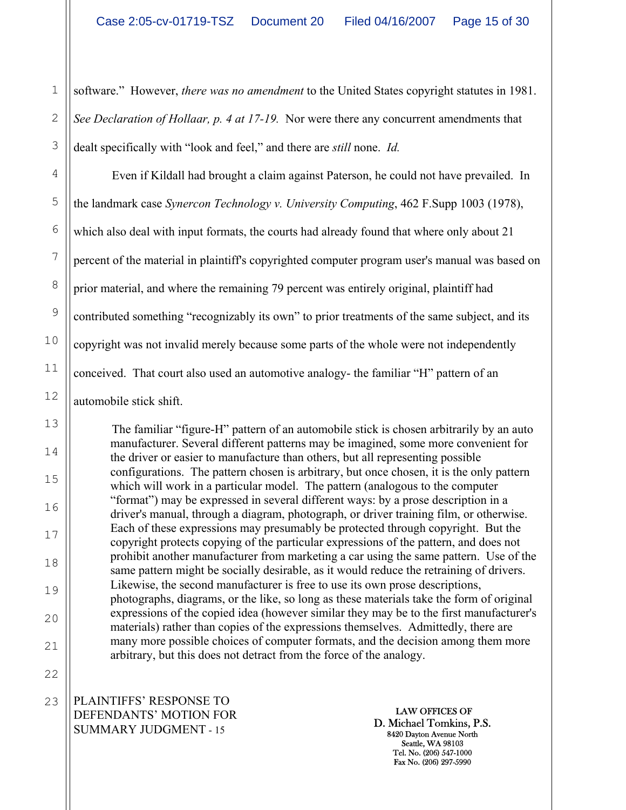2 3 software." However, *there was no amendment* to the United States copyright statutes in 1981. *See Declaration of Hollaar, p. 4 at 17-19.* Nor were there any concurrent amendments that dealt specifically with "look and feel," and there are *still* none. *Id.* 

4 5 6 7 8 9 10 11 12 Even if Kildall had brought a claim against Paterson, he could not have prevailed. In the landmark case *Synercon Technology v. University Computing*, 462 F.Supp 1003 (1978), which also deal with input formats, the courts had already found that where only about 21 percent of the material in plaintiff's copyrighted computer program user's manual was based on prior material, and where the remaining 79 percent was entirely original, plaintiff had contributed something "recognizably its own" to prior treatments of the same subject, and its copyright was not invalid merely because some parts of the whole were not independently conceived. That court also used an automotive analogy- the familiar "H" pattern of an automobile stick shift.

The familiar "figure-H" pattern of an automobile stick is chosen arbitrarily by an auto manufacturer. Several different patterns may be imagined, some more convenient for the driver or easier to manufacture than others, but all representing possible configurations. The pattern chosen is arbitrary, but once chosen, it is the only pattern which will work in a particular model. The pattern (analogous to the computer "format") may be expressed in several different ways: by a prose description in a driver's manual, through a diagram, photograph, or driver training film, or otherwise. Each of these expressions may presumably be protected through copyright. But the copyright protects copying of the particular expressions of the pattern, and does not prohibit another manufacturer from marketing a car using the same pattern. Use of the same pattern might be socially desirable, as it would reduce the retraining of drivers. Likewise, the second manufacturer is free to use its own prose descriptions, photographs, diagrams, or the like, so long as these materials take the form of original expressions of the copied idea (however similar they may be to the first manufacturer's materials) rather than copies of the expressions themselves. Admittedly, there are many more possible choices of computer formats, and the decision among them more arbitrary, but this does not detract from the force of the analogy.

PLAINTIFFS' RESPONSE TO DEFENDANTS' MOTION FOR SUMMARY JUDGMENT - 15 23

1

13

14

15

16

17

18

19

20

21

22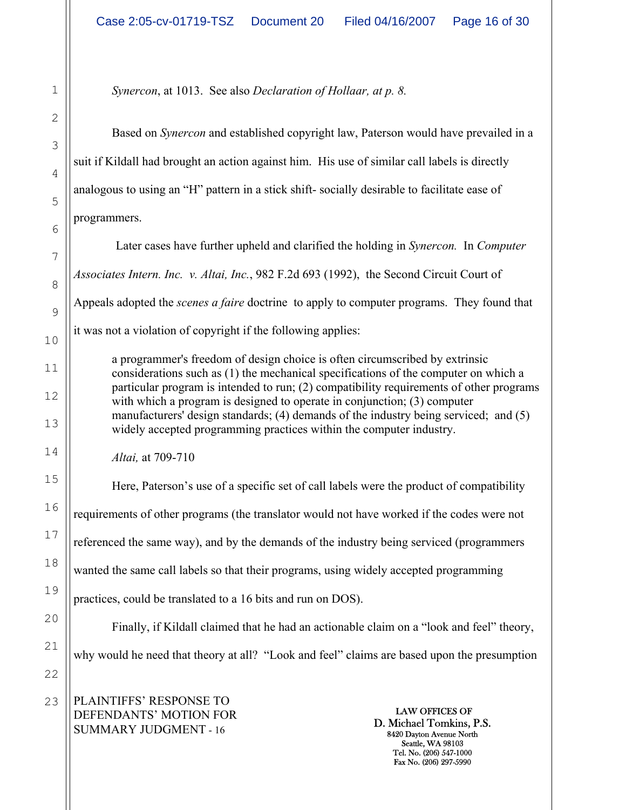*Synercon*, at 1013. See also *Declaration of Hollaar, at p. 8.*

Based on *Synercon* and established copyright law, Paterson would have prevailed in a suit if Kildall had brought an action against him. His use of similar call labels is directly analogous to using an "H" pattern in a stick shift- socially desirable to facilitate ease of programmers.

Later cases have further upheld and clarified the holding in *Synercon.* In *Computer Associates Intern. Inc. v. Altai, Inc.*, 982 F.2d 693 (1992), the Second Circuit Court of Appeals adopted the *scenes a faire* doctrine to apply to computer programs. They found that it was not a violation of copyright if the following applies:

a programmer's freedom of design choice is often circumscribed by extrinsic considerations such as (1) the mechanical specifications of the computer on which a particular program is intended to run; (2) compatibility requirements of other programs with which a program is designed to operate in conjunction; (3) computer manufacturers' design standards; (4) demands of the industry being serviced; and (5) widely accepted programming practices within the computer industry.

*Altai,* at 709-710

Here, Paterson's use of a specific set of call labels were the product of compatibility requirements of other programs (the translator would not have worked if the codes were not referenced the same way), and by the demands of the industry being serviced (programmers wanted the same call labels so that their programs, using widely accepted programming practices, could be translated to a 16 bits and run on DOS). Finally, if Kildall claimed that he had an actionable claim on a "look and feel" theory,

why would he need that theory at all? "Look and feel" claims are based upon the presumption

PLAINTIFFS' RESPONSE TO DEFENDANTS' MOTION FOR SUMMARY JUDGMENT - 16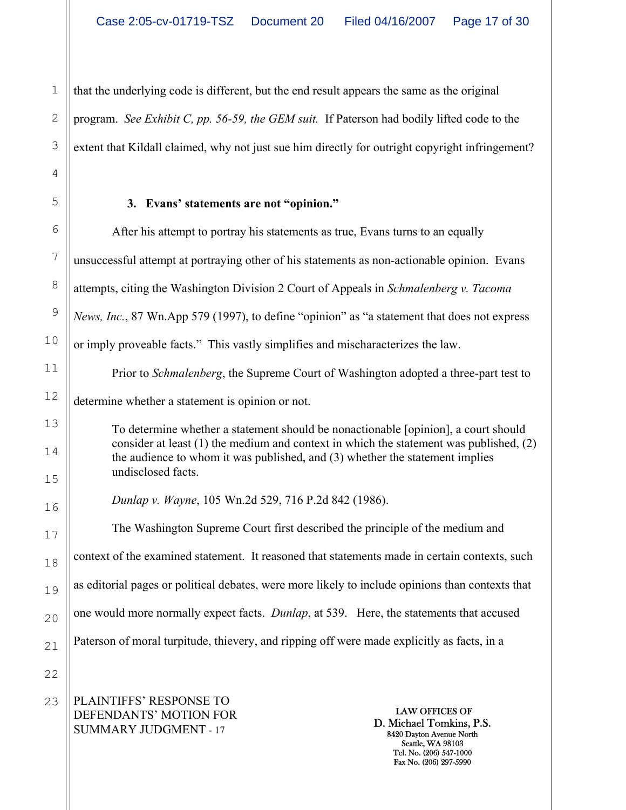that the underlying code is different, but the end result appears the same as the original program. *See Exhibit C, pp. 56-59, the GEM suit.* If Paterson had bodily lifted code to the extent that Kildall claimed, why not just sue him directly for outright copyright infringement?

## **3. Evans' statements are not "opinion."**

1

2

3

4

5

6

7

8

9

10

11

12

13

14

15

16

17

18

19

20

21

22

After his attempt to portray his statements as true, Evans turns to an equally unsuccessful attempt at portraying other of his statements as non-actionable opinion. Evans attempts, citing the Washington Division 2 Court of Appeals in *Schmalenberg v. Tacoma News, Inc.*, 87 Wn.App 579 (1997), to define "opinion" as "a statement that does not express or imply proveable facts." This vastly simplifies and mischaracterizes the law. Prior to *Schmalenberg*, the Supreme Court of Washington adopted a three-part test to determine whether a statement is opinion or not. To determine whether a statement should be nonactionable [opinion], a court should consider at least (1) the medium and context in which the statement was published, (2) the audience to whom it was published, and (3) whether the statement implies undisclosed facts. *Dunlap v. Wayne*, 105 Wn.2d 529, 716 P.2d 842 (1986). The Washington Supreme Court first described the principle of the medium and context of the examined statement. It reasoned that statements made in certain contexts, such as editorial pages or political debates, were more likely to include opinions than contexts that one would more normally expect facts. *Dunlap*, at 539. Here, the statements that accused Paterson of moral turpitude, thievery, and ripping off were made explicitly as facts, in a

PLAINTIFFS' RESPONSE TO DEFENDANTS' MOTION FOR SUMMARY JUDGMENT - 17 23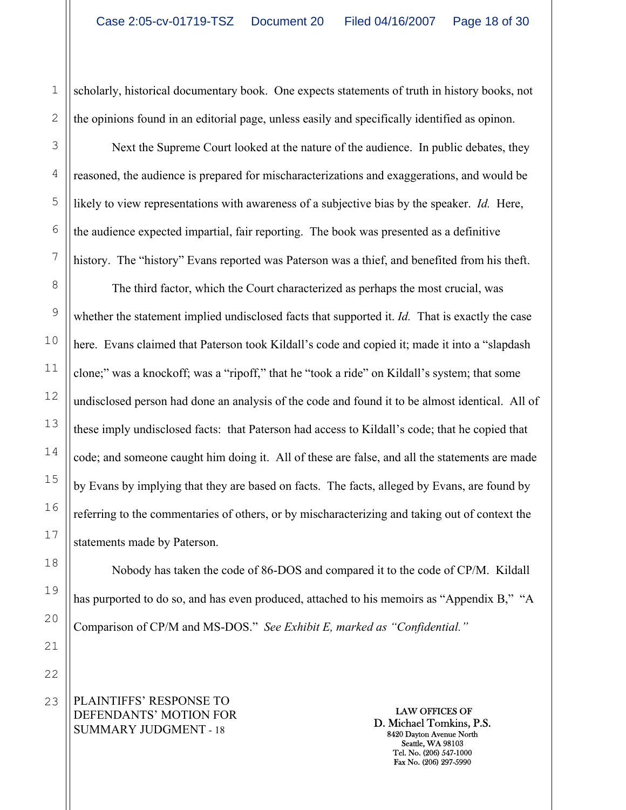scholarly, historical documentary book. One expects statements of truth in history books, not the opinions found in an editorial page, unless easily and specifically identified as opinon.

Next the Supreme Court looked at the nature of the audience. In public debates, they reasoned, the audience is prepared for mischaracterizations and exaggerations, and would be likely to view representations with awareness of a subjective bias by the speaker. *Id.* Here, the audience expected impartial, fair reporting. The book was presented as a definitive history. The "history" Evans reported was Paterson was a thief, and benefited from his theft.

The third factor, which the Court characterized as perhaps the most crucial, was whether the statement implied undisclosed facts that supported it. *Id.* That is exactly the case here. Evans claimed that Paterson took Kildall's code and copied it; made it into a "slapdash clone;" was a knockoff; was a "ripoff," that he "took a ride" on Kildall's system; that some undisclosed person had done an analysis of the code and found it to be almost identical. All of these imply undisclosed facts: that Paterson had access to Kildall's code; that he copied that code; and someone caught him doing it. All of these are false, and all the statements are made by Evans by implying that they are based on facts. The facts, alleged by Evans, are found by referring to the commentaries of others, or by mischaracterizing and taking out of context the statements made by Paterson.

Nobody has taken the code of 86-DOS and compared it to the code of CP/M. Kildall has purported to do so, and has even produced, attached to his memoirs as "Appendix B," "A Comparison of CP/M and MS-DOS." *See Exhibit E, marked as "Confidential."* 

PLAINTIFFS' RESPONSE TO DEFENDANTS' MOTION FOR SUMMARY JUDGMENT - 18

LAW OFFICES OF D. Michael Tomkins, P.S. 8420 Dayton Avenue North Seattle, WA 98103 Tel. No. (206) 547-1000 Fax No. (206) 297-5990

1

2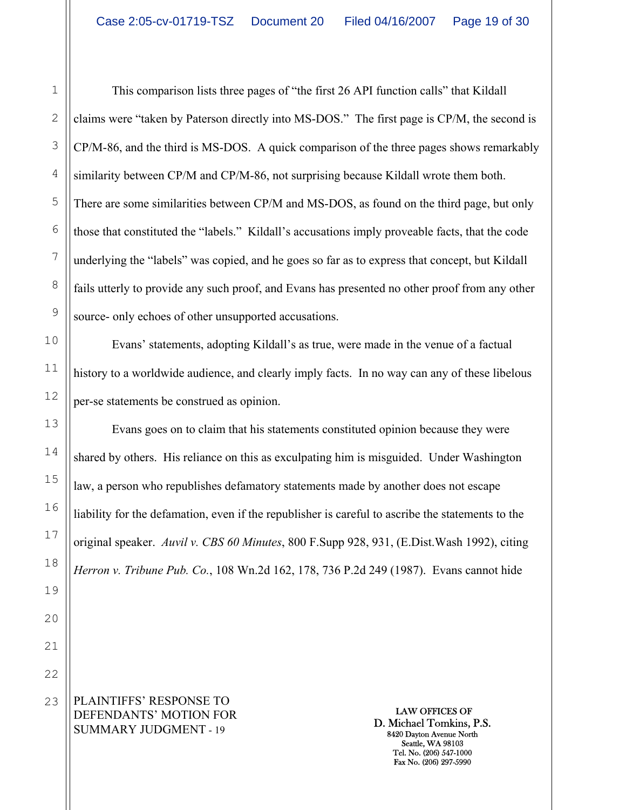2 This comparison lists three pages of "the first 26 API function calls" that Kildall claims were "taken by Paterson directly into MS-DOS." The first page is CP/M, the second is CP/M-86, and the third is MS-DOS. A quick comparison of the three pages shows remarkably similarity between CP/M and CP/M-86, not surprising because Kildall wrote them both. There are some similarities between CP/M and MS-DOS, as found on the third page, but only those that constituted the "labels." Kildall's accusations imply proveable facts, that the code underlying the "labels" was copied, and he goes so far as to express that concept, but Kildall fails utterly to provide any such proof, and Evans has presented no other proof from any other source- only echoes of other unsupported accusations.

Evans' statements, adopting Kildall's as true, were made in the venue of a factual history to a worldwide audience, and clearly imply facts. In no way can any of these libelous per-se statements be construed as opinion.

Evans goes on to claim that his statements constituted opinion because they were shared by others. His reliance on this as exculpating him is misguided. Under Washington law, a person who republishes defamatory statements made by another does not escape liability for the defamation, even if the republisher is careful to ascribe the statements to the original speaker. *Auvil v. CBS 60 Minutes*, 800 F.Supp 928, 931, (E.Dist.Wash 1992), citing *Herron v. Tribune Pub. Co.*, 108 Wn.2d 162, 178, 736 P.2d 249 (1987). Evans cannot hide

PLAINTIFFS' RESPONSE TO DEFENDANTS' MOTION FOR SUMMARY JUDGMENT - 19

LAW OFFICES OF D. Michael Tomkins, P.S. 8420 Dayton Avenue North Seattle, WA 98103 Tel. No. (206) 547-1000 Fax No. (206) 297-5990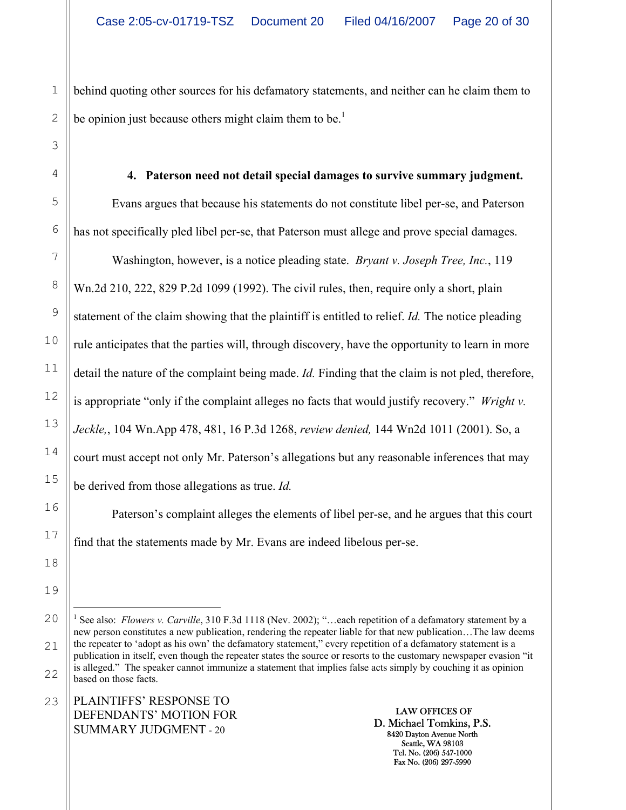behind quoting other sources for his defamatory statements, and neither can he claim them to be opinion just because others might claim them to be.<sup>1</sup>

**4. Paterson need not detail special damages to survive summary judgment.**  Evans argues that because his statements do not constitute libel per-se, and Paterson has not specifically pled libel per-se, that Paterson must allege and prove special damages.

Washington, however, is a notice pleading state. *Bryant v. Joseph Tree, Inc.*, 119 Wn.2d 210, 222, 829 P.2d 1099 (1992). The civil rules, then, require only a short, plain statement of the claim showing that the plaintiff is entitled to relief. *Id.* The notice pleading rule anticipates that the parties will, through discovery, have the opportunity to learn in more detail the nature of the complaint being made. *Id.* Finding that the claim is not pled, therefore, is appropriate "only if the complaint alleges no facts that would justify recovery." *Wright v. Jeckle,*, 104 Wn.App 478, 481, 16 P.3d 1268, *review denied,* 144 Wn2d 1011 (2001). So, a court must accept not only Mr. Paterson's allegations but any reasonable inferences that may be derived from those allegations as true. *Id.* 

Paterson's complaint alleges the elements of libel per-se, and he argues that this court find that the statements made by Mr. Evans are indeed libelous per-se.

PLAINTIFFS' RESPONSE TO DEFENDANTS' MOTION FOR SUMMARY JUDGMENT - 20 23

1

2

3

4

5

6

7

8

9

10

11

12

13

14

15

16

17

18

19

<sup>20</sup>  21 22 i<br>Li <sup>1</sup> See also: *Flowers v. Carville*, 310 F.3d 1118 (Nev. 2002); "...each repetition of a defamatory statement by a new person constitutes a new publication, rendering the repeater liable for that new publication…The law deems the repeater to 'adopt as his own' the defamatory statement," every repetition of a defamatory statement is a publication in itself, even though the repeater states the source or resorts to the customary newspaper evasion "it is alleged." The speaker cannot immunize a statement that implies false acts simply by couching it as opinion based on those facts.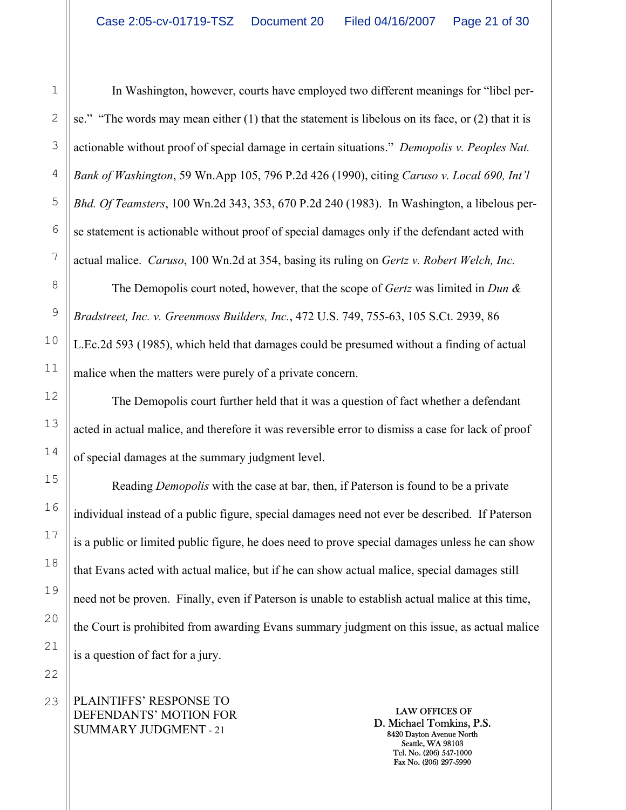In Washington, however, courts have employed two different meanings for "libel perse." "The words may mean either (1) that the statement is libelous on its face, or (2) that it is actionable without proof of special damage in certain situations." *Demopolis v. Peoples Nat. Bank of Washington*, 59 Wn.App 105, 796 P.2d 426 (1990), citing *Caruso v. Local 690, Int'l Bhd. Of Teamsters*, 100 Wn.2d 343, 353, 670 P.2d 240 (1983). In Washington, a libelous perse statement is actionable without proof of special damages only if the defendant acted with actual malice. *Caruso*, 100 Wn.2d at 354, basing its ruling on *Gertz v. Robert Welch, Inc.*

The Demopolis court noted, however, that the scope of *Gertz* was limited in *Dun & Bradstreet, Inc. v. Greenmoss Builders, Inc.*, 472 U.S. 749, 755-63, 105 S.Ct. 2939, 86 L.Ec.2d 593 (1985), which held that damages could be presumed without a finding of actual malice when the matters were purely of a private concern.

The Demopolis court further held that it was a question of fact whether a defendant acted in actual malice, and therefore it was reversible error to dismiss a case for lack of proof of special damages at the summary judgment level.

Reading *Demopolis* with the case at bar, then, if Paterson is found to be a private individual instead of a public figure, special damages need not ever be described. If Paterson is a public or limited public figure, he does need to prove special damages unless he can show that Evans acted with actual malice, but if he can show actual malice, special damages still need not be proven. Finally, even if Paterson is unable to establish actual malice at this time, the Court is prohibited from awarding Evans summary judgment on this issue, as actual malice is a question of fact for a jury.

PLAINTIFFS' RESPONSE TO DEFENDANTS' MOTION FOR SUMMARY JUDGMENT - 21

LAW OFFICES OF D. Michael Tomkins, P.S. 8420 Dayton Avenue North Seattle, WA 98103 Tel. No. (206) 547-1000 Fax No. (206) 297-5990

1

2

3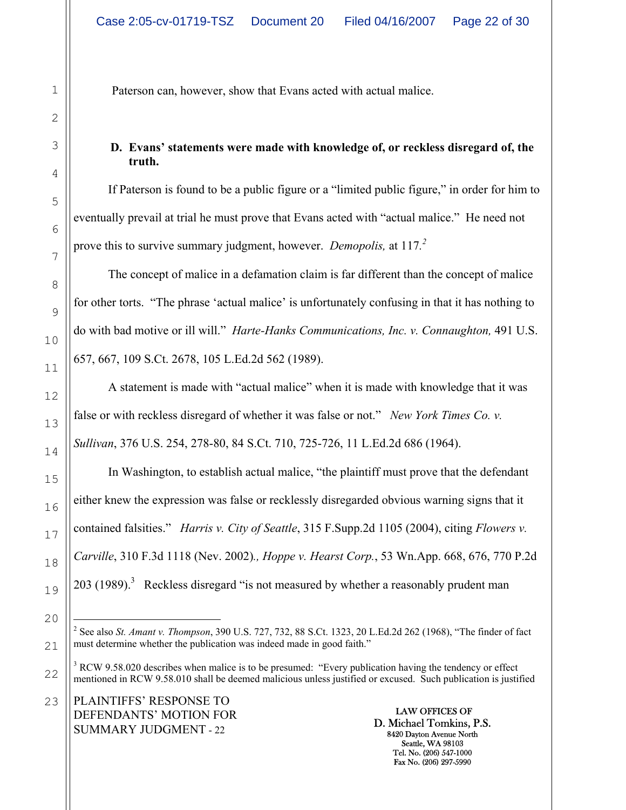Paterson can, however, show that Evans acted with actual malice.

## **D. Evans' statements were made with knowledge of, or reckless disregard of, the truth.**

If Paterson is found to be a public figure or a "limited public figure," in order for him to eventually prevail at trial he must prove that Evans acted with "actual malice." He need not prove this to survive summary judgment, however. *Demopolis,* at 117*. 2*

The concept of malice in a defamation claim is far different than the concept of malice for other torts. "The phrase 'actual malice' is unfortunately confusing in that it has nothing to do with bad motive or ill will." *Harte-Hanks Communications, Inc. v. Connaughton,* 491 U.S. 657, 667, 109 S.Ct. 2678, 105 L.Ed.2d 562 (1989).

A statement is made with "actual malice" when it is made with knowledge that it was false or with reckless disregard of whether it was false or not." *New York Times Co. v. Sullivan*, 376 U.S. 254, 278-80, 84 S.Ct. 710, 725-726, 11 L.Ed.2d 686 (1964).

In Washington, to establish actual malice, "the plaintiff must prove that the defendant either knew the expression was false or recklessly disregarded obvious warning signs that it contained falsities." *Harris v. City of Seattle*, 315 F.Supp.2d 1105 (2004), citing *Flowers v. Carville*, 310 F.3d 1118 (Nev. 2002)*., Hoppe v. Hearst Corp.*, 53 Wn.App. 668, 676, 770 P.2d 203 (1989).<sup>3</sup> Reckless disregard "is not measured by whether a reasonably prudent man

PLAINTIFFS' RESPONSE TO DEFENDANTS' MOTION FOR SUMMARY JUDGMENT - 22 23

 2 See also *St. Amant v. Thompson*, 390 U.S. 727, 732, 88 S.Ct. 1323, 20 L.Ed.2d 262 (1968), "The finder of fact must determine whether the publication was indeed made in good faith."

<sup>&</sup>lt;sup>3</sup> RCW 9.58.020 describes when malice is to be presumed: "Every publication having the tendency or effect mentioned in RCW 9.58.010 shall be deemed malicious unless justified or excused. Such publication is justified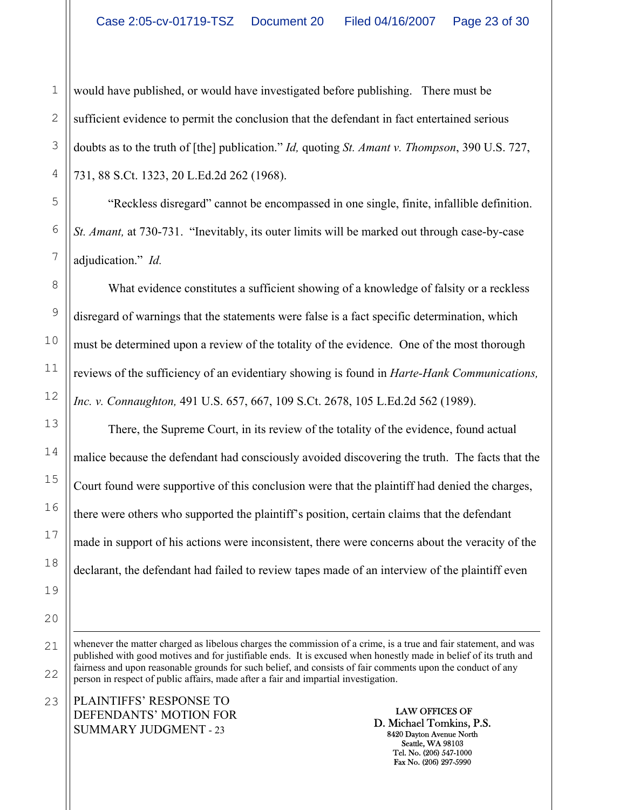2 would have published, or would have investigated before publishing. There must be sufficient evidence to permit the conclusion that the defendant in fact entertained serious doubts as to the truth of [the] publication." *Id,* quoting *St. Amant v. Thompson*, 390 U.S. 727, 731, 88 S.Ct. 1323, 20 L.Ed.2d 262 (1968).

"Reckless disregard" cannot be encompassed in one single, finite, infallible definition. *St. Amant,* at 730-731. "Inevitably, its outer limits will be marked out through case-by-case adjudication." *Id.* 

What evidence constitutes a sufficient showing of a knowledge of falsity or a reckless disregard of warnings that the statements were false is a fact specific determination, which must be determined upon a review of the totality of the evidence. One of the most thorough reviews of the sufficiency of an evidentiary showing is found in *Harte-Hank Communications, Inc. v. Connaughton,* 491 U.S. 657, 667, 109 S.Ct. 2678, 105 L.Ed.2d 562 (1989).

There, the Supreme Court, in its review of the totality of the evidence, found actual malice because the defendant had consciously avoided discovering the truth. The facts that the Court found were supportive of this conclusion were that the plaintiff had denied the charges, there were others who supported the plaintiff's position, certain claims that the defendant made in support of his actions were inconsistent, there were concerns about the veracity of the declarant, the defendant had failed to review tapes made of an interview of the plaintiff even

 $\overline{\phantom{0}}$ whenever the matter charged as libelous charges the commission of a crime, is a true and fair statement, and was published with good motives and for justifiable ends. It is excused when honestly made in belief of its truth and fairness and upon reasonable grounds for such belief, and consists of fair comments upon the conduct of any person in respect of public affairs, made after a fair and impartial investigation.

PLAINTIFFS' RESPONSE TO DEFENDANTS' MOTION FOR SUMMARY JUDGMENT - 23

LAW OFFICES OF D. Michael Tomkins, P.S. 8420 Dayton Avenue North Seattle, WA 98103 Tel. No. (206) 547-1000 Fax No. (206) 297-5990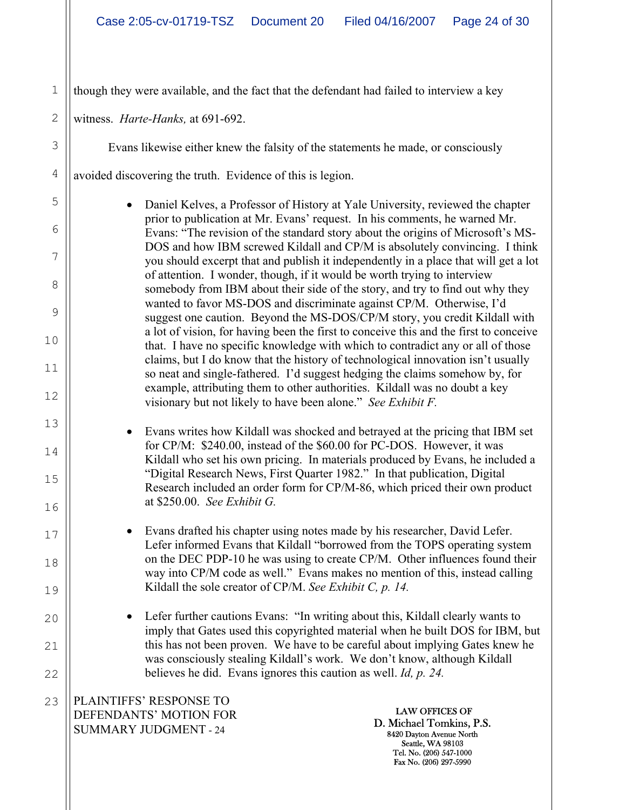1 though they were available, and the fact that the defendant had failed to interview a key

witness. *Harte-Hanks,* at 691-692.

2

3

4

5

6

7

8

9

10

11

12

13

14

15

16

17

18

19

20

21

22

Evans likewise either knew the falsity of the statements he made, or consciously

avoided discovering the truth. Evidence of this is legion.

• Daniel Kelves, a Professor of History at Yale University, reviewed the chapter prior to publication at Mr. Evans' request. In his comments, he warned Mr. Evans: "The revision of the standard story about the origins of Microsoft's MS-DOS and how IBM screwed Kildall and CP/M is absolutely convincing. I think you should excerpt that and publish it independently in a place that will get a lot of attention. I wonder, though, if it would be worth trying to interview somebody from IBM about their side of the story, and try to find out why they wanted to favor MS-DOS and discriminate against CP/M. Otherwise, I'd suggest one caution. Beyond the MS-DOS/CP/M story, you credit Kildall with a lot of vision, for having been the first to conceive this and the first to conceive that. I have no specific knowledge with which to contradict any or all of those claims, but I do know that the history of technological innovation isn't usually so neat and single-fathered. I'd suggest hedging the claims somehow by, for example, attributing them to other authorities. Kildall was no doubt a key visionary but not likely to have been alone." *See Exhibit F.*

- Evans writes how Kildall was shocked and betrayed at the pricing that IBM set for CP/M: \$240.00, instead of the \$60.00 for PC-DOS. However, it was Kildall who set his own pricing. In materials produced by Evans, he included a "Digital Research News, First Quarter 1982." In that publication, Digital Research included an order form for CP/M-86, which priced their own product at \$250.00. *See Exhibit G.*
- Evans drafted his chapter using notes made by his researcher, David Lefer. Lefer informed Evans that Kildall "borrowed from the TOPS operating system on the DEC PDP-10 he was using to create CP/M. Other influences found their way into CP/M code as well." Evans makes no mention of this, instead calling Kildall the sole creator of CP/M. *See Exhibit C, p. 14.*
- Lefer further cautions Evans: "In writing about this, Kildall clearly wants to imply that Gates used this copyrighted material when he built DOS for IBM, but this has not been proven. We have to be careful about implying Gates knew he was consciously stealing Kildall's work. We don't know, although Kildall believes he did. Evans ignores this caution as well. *Id, p. 24.*

PLAINTIFFS' RESPONSE TO DEFENDANTS' MOTION FOR SUMMARY JUDGMENT - 24 23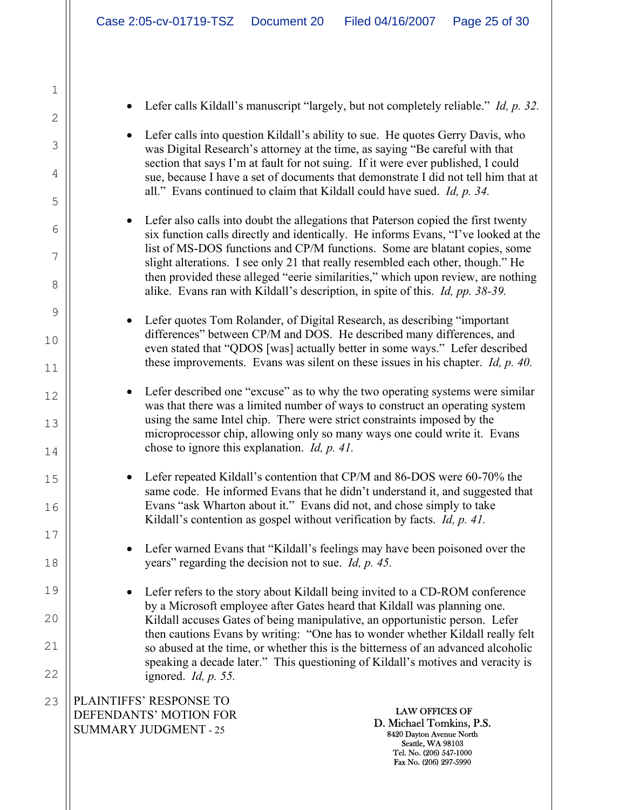PLAINTIFFS' RESPONSE TO DEFENDANTS' MOTION FOR SUMMARY JUDGMENT - 25 LAW OFFICES OF D. Michael Tomkins, P.S. 8420 Dayton Avenue North Seattle, WA 98103 Tel. No. (206) 547-1000 Fax No. (206) 297-5990 1 2 3 4 5 6 7 8 9 10 11 12 13 14 15 16 17 18 19 20 21 22 23 • Lefer calls Kildall's manuscript "largely, but not completely reliable." *Id, p. 32.* • Lefer calls into question Kildall's ability to sue. He quotes Gerry Davis, who was Digital Research's attorney at the time, as saying "Be careful with that section that says I'm at fault for not suing. If it were ever published, I could sue, because I have a set of documents that demonstrate I did not tell him that at all." Evans continued to claim that Kildall could have sued. *Id, p. 34.* • Lefer also calls into doubt the allegations that Paterson copied the first twenty six function calls directly and identically. He informs Evans, "I've looked at the list of MS-DOS functions and CP/M functions. Some are blatant copies, some slight alterations. I see only 21 that really resembled each other, though." He then provided these alleged "eerie similarities," which upon review, are nothing alike. Evans ran with Kildall's description, in spite of this. *Id, pp. 38-39.* • Lefer quotes Tom Rolander, of Digital Research, as describing "important differences" between CP/M and DOS. He described many differences, and even stated that "QDOS [was] actually better in some ways." Lefer described these improvements. Evans was silent on these issues in his chapter. *Id, p. 40.* • Lefer described one "excuse" as to why the two operating systems were similar was that there was a limited number of ways to construct an operating system using the same Intel chip. There were strict constraints imposed by the microprocessor chip, allowing only so many ways one could write it. Evans chose to ignore this explanation. *Id, p. 41.* • Lefer repeated Kildall's contention that CP/M and 86-DOS were 60-70% the same code. He informed Evans that he didn't understand it, and suggested that Evans "ask Wharton about it." Evans did not, and chose simply to take Kildall's contention as gospel without verification by facts. *Id, p. 41.* • Lefer warned Evans that "Kildall's feelings may have been poisoned over the years" regarding the decision not to sue. *Id, p. 45.* • Lefer refers to the story about Kildall being invited to a CD-ROM conference by a Microsoft employee after Gates heard that Kildall was planning one. Kildall accuses Gates of being manipulative, an opportunistic person. Lefer then cautions Evans by writing: "One has to wonder whether Kildall really felt so abused at the time, or whether this is the bitterness of an advanced alcoholic speaking a decade later." This questioning of Kildall's motives and veracity is ignored. *Id, p. 55.*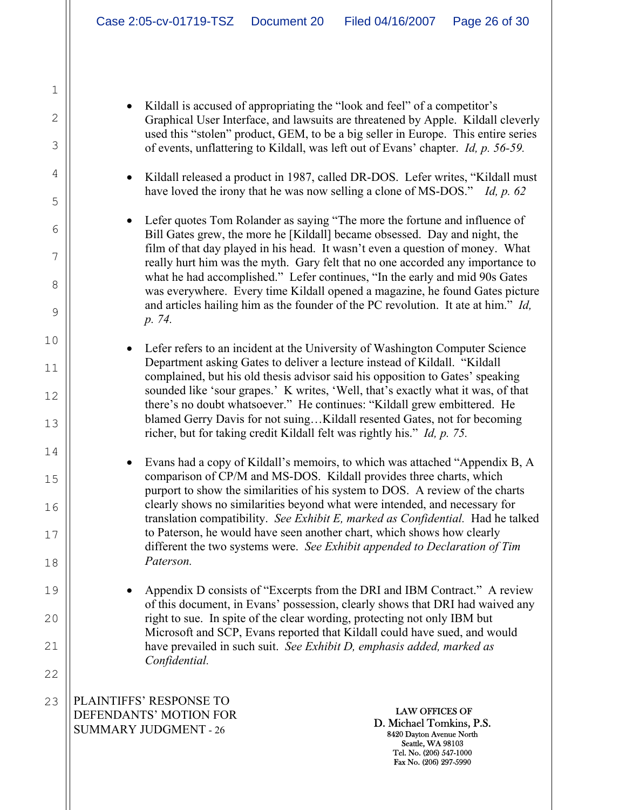Kildall is accused of appropriating the "look and feel" of a competitor's Graphical User Interface, and lawsuits are threatened by Apple. Kildall cleverly used this "stolen" product, GEM, to be a big seller in Europe. This entire series of events, unflattering to Kildall, was left out of Evans' chapter. *Id, p. 56-59.*

• Kildall released a product in 1987, called DR-DOS. Lefer writes, "Kildall must have loved the irony that he was now selling a clone of MS-DOS." *Id, p. 62*

• Lefer quotes Tom Rolander as saying "The more the fortune and influence of Bill Gates grew, the more he [Kildall] became obsessed. Day and night, the film of that day played in his head. It wasn't even a question of money. What really hurt him was the myth. Gary felt that no one accorded any importance to what he had accomplished." Lefer continues, "In the early and mid 90s Gates was everywhere. Every time Kildall opened a magazine, he found Gates picture and articles hailing him as the founder of the PC revolution. It ate at him." *Id, p. 74.*

• Lefer refers to an incident at the University of Washington Computer Science Department asking Gates to deliver a lecture instead of Kildall. "Kildall complained, but his old thesis advisor said his opposition to Gates' speaking sounded like 'sour grapes.' K writes, 'Well, that's exactly what it was, of that there's no doubt whatsoever." He continues: "Kildall grew embittered. He blamed Gerry Davis for not suing…Kildall resented Gates, not for becoming richer, but for taking credit Kildall felt was rightly his." *Id, p. 75.*

• Evans had a copy of Kildall's memoirs, to which was attached "Appendix B, A comparison of CP/M and MS-DOS. Kildall provides three charts, which purport to show the similarities of his system to DOS. A review of the charts clearly shows no similarities beyond what were intended, and necessary for translation compatibility. *See Exhibit E, marked as Confidential.* Had he talked to Paterson, he would have seen another chart, which shows how clearly different the two systems were. *See Exhibit appended to Declaration of Tim Paterson.*

• Appendix D consists of "Excerpts from the DRI and IBM Contract." A review of this document, in Evans' possession, clearly shows that DRI had waived any right to sue. In spite of the clear wording, protecting not only IBM but Microsoft and SCP, Evans reported that Kildall could have sued, and would have prevailed in such suit. *See Exhibit D, emphasis added, marked as Confidential.*

PLAINTIFFS' RESPONSE TO DEFENDANTS' MOTION FOR SUMMARY JUDGMENT - 26 23

1

2

3

4

5

6

7

8

9

10

11

12

13

14

15

16

17

18

19

20

21

22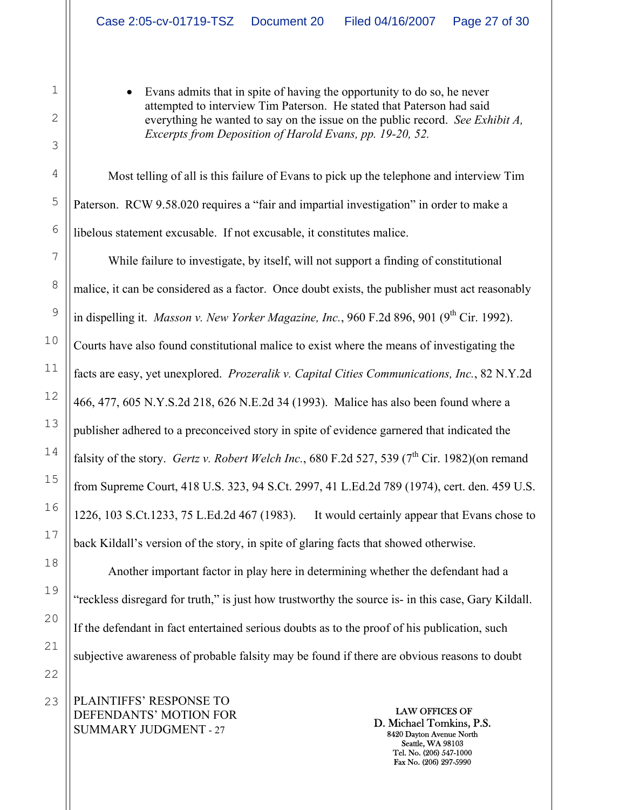• Evans admits that in spite of having the opportunity to do so, he never attempted to interview Tim Paterson. He stated that Paterson had said everything he wanted to say on the issue on the public record. *See Exhibit A, Excerpts from Deposition of Harold Evans, pp. 19-20, 52.*

Most telling of all is this failure of Evans to pick up the telephone and interview Tim Paterson. RCW 9.58.020 requires a "fair and impartial investigation" in order to make a libelous statement excusable. If not excusable, it constitutes malice.

While failure to investigate, by itself, will not support a finding of constitutional malice, it can be considered as a factor. Once doubt exists, the publisher must act reasonably in dispelling it. *Masson v. New Yorker Magazine, Inc.*, 960 F.2d 896, 901 (9<sup>th</sup> Cir. 1992). Courts have also found constitutional malice to exist where the means of investigating the facts are easy, yet unexplored. *Prozeralik v. Capital Cities Communications, Inc.*, 82 N.Y.2d 466, 477, 605 N.Y.S.2d 218, 626 N.E.2d 34 (1993). Malice has also been found where a publisher adhered to a preconceived story in spite of evidence garnered that indicated the falsity of the story. *Gertz v. Robert Welch Inc.*, 680 F.2d 527, 539 ( $7<sup>th</sup>$  Cir. 1982)(on remand from Supreme Court, 418 U.S. 323, 94 S.Ct. 2997, 41 L.Ed.2d 789 (1974), cert. den. 459 U.S. 1226, 103 S.Ct.1233, 75 L.Ed.2d 467 (1983). It would certainly appear that Evans chose to back Kildall's version of the story, in spite of glaring facts that showed otherwise.

Another important factor in play here in determining whether the defendant had a "reckless disregard for truth," is just how trustworthy the source is- in this case, Gary Kildall. If the defendant in fact entertained serious doubts as to the proof of his publication, such subjective awareness of probable falsity may be found if there are obvious reasons to doubt

PLAINTIFFS' RESPONSE TO DEFENDANTS' MOTION FOR SUMMARY JUDGMENT - 27

LAW OFFICES OF D. Michael Tomkins, P.S. 8420 Dayton Avenue North Seattle, WA 98103 Tel. No. (206) 547-1000 Fax No. (206) 297-5990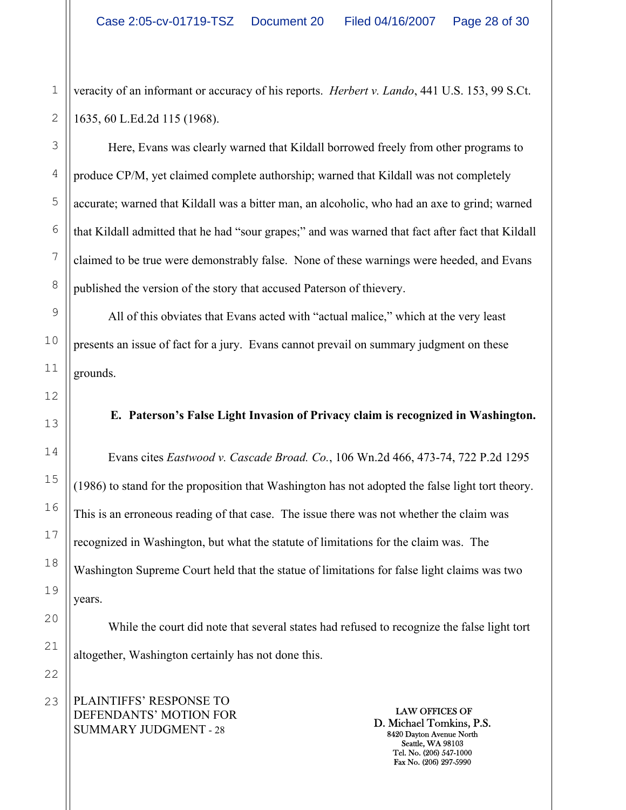veracity of an informant or accuracy of his reports. *Herbert v. Lando*, 441 U.S. 153, 99 S.Ct. 1635, 60 L.Ed.2d 115 (1968).

Here, Evans was clearly warned that Kildall borrowed freely from other programs to produce CP/M, yet claimed complete authorship; warned that Kildall was not completely accurate; warned that Kildall was a bitter man, an alcoholic, who had an axe to grind; warned that Kildall admitted that he had "sour grapes;" and was warned that fact after fact that Kildall claimed to be true were demonstrably false. None of these warnings were heeded, and Evans published the version of the story that accused Paterson of thievery.

All of this obviates that Evans acted with "actual malice," which at the very least presents an issue of fact for a jury. Evans cannot prevail on summary judgment on these grounds.

## **E. Paterson's False Light Invasion of Privacy claim is recognized in Washington.**

Evans cites *Eastwood v. Cascade Broad. Co.*, 106 Wn.2d 466, 473-74, 722 P.2d 1295 (1986) to stand for the proposition that Washington has not adopted the false light tort theory. This is an erroneous reading of that case. The issue there was not whether the claim was recognized in Washington, but what the statute of limitations for the claim was. The Washington Supreme Court held that the statue of limitations for false light claims was two years.

While the court did note that several states had refused to recognize the false light tort altogether, Washington certainly has not done this.

PLAINTIFFS' RESPONSE TO DEFENDANTS' MOTION FOR SUMMARY JUDGMENT - 28

LAW OFFICES OF D. Michael Tomkins, P.S. 8420 Dayton Avenue North Seattle, WA 98103 Tel. No. (206) 547-1000 Fax No. (206) 297-5990

1

2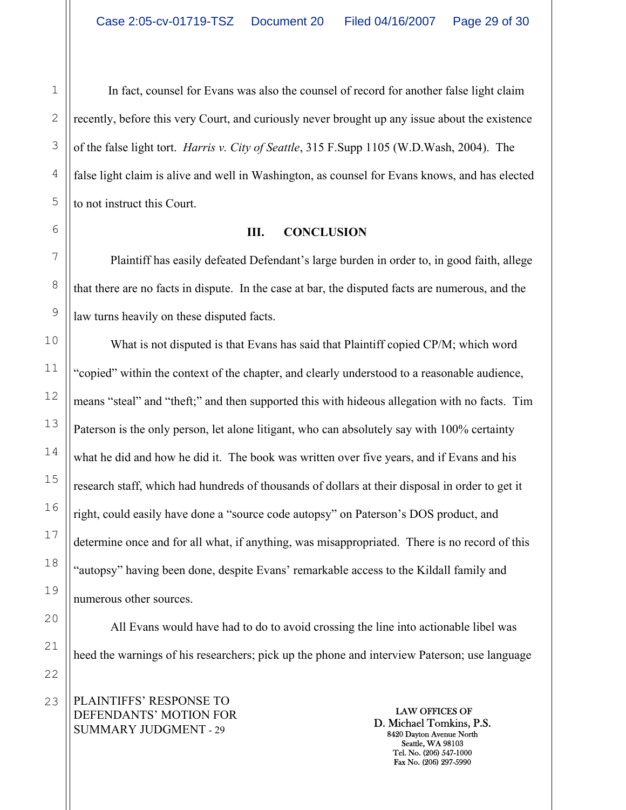In fact, counsel for Evans was also the counsel of record for another false light claim recently, before this very Court, and curiously never brought up any issue about the existence of the false light tort. *Harris v. City of Seattle*, 315 F.Supp 1105 (W.D.Wash, 2004). The false light claim is alive and well in Washington, as counsel for Evans knows, and has elected to not instruct this Court.

### **III. CONCLUSION**

Plaintiff has easily defeated Defendant's large burden in order to, in good faith, allege that there are no facts in dispute. In the case at bar, the disputed facts are numerous, and the law turns heavily on these disputed facts.

 What is not disputed is that Evans has said that Plaintiff copied CP/M; which word "copied" within the context of the chapter, and clearly understood to a reasonable audience, means "steal" and "theft;" and then supported this with hideous allegation with no facts. Tim Paterson is the only person, let alone litigant, who can absolutely say with 100% certainty what he did and how he did it. The book was written over five years, and if Evans and his research staff, which had hundreds of thousands of dollars at their disposal in order to get it right, could easily have done a "source code autopsy" on Paterson's DOS product, and determine once and for all what, if anything, was misappropriated. There is no record of this "autopsy" having been done, despite Evans' remarkable access to the Kildall family and numerous other sources.

 All Evans would have had to do to avoid crossing the line into actionable libel was heed the warnings of his researchers; pick up the phone and interview Paterson; use language

PLAINTIFFS' RESPONSE TO DEFENDANTS' MOTION FOR SUMMARY JUDGMENT - 29

LAW OFFICES OF D. Michael Tomkins, P.S. 8420 Dayton Avenue North Seattle, WA 98103 Tel. No. (206) 547-1000 Fax No. (206) 297-5990